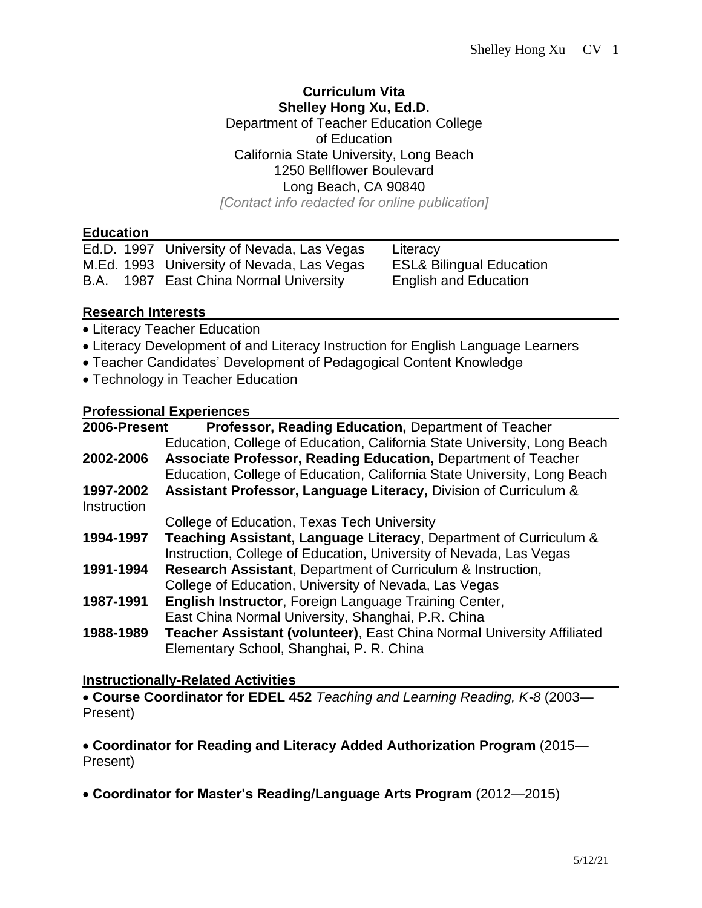#### **Curriculum Vita Shelley Hong Xu, Ed.D.**

Department of Teacher Education College of Education California State University, Long Beach 1250 Bellflower Boulevard Long Beach, CA 90840

*[Contact info redacted for online publication]*

#### **Education**

|  | Ed.D. 1997 University of Nevada, Las Vegas | Literacy    |
|--|--------------------------------------------|-------------|
|  | M.Ed. 1993 University of Nevada, Las Vegas | ESL& Biling |
|  | B.A. 1987 East China Normal University     | English and |

aual Education **Education** 

#### **Research Interests**

- Literacy Teacher Education
- Literacy Development of and Literacy Instruction for English Language Learners
- Teacher Candidates' Development of Pedagogical Content Knowledge
- Technology in Teacher Education

# **Professional Experiences**

| 2006-Present       | Professor, Reading Education, Department of Teacher                      |  |
|--------------------|--------------------------------------------------------------------------|--|
|                    | Education, College of Education, California State University, Long Beach |  |
| 2002-2006          | Associate Professor, Reading Education, Department of Teacher            |  |
|                    | Education, College of Education, California State University, Long Beach |  |
| 1997-2002          | Assistant Professor, Language Literacy, Division of Curriculum &         |  |
| <b>Instruction</b> |                                                                          |  |
|                    | College of Education, Texas Tech University                              |  |
| 1994-1997          | Teaching Assistant, Language Literacy, Department of Curriculum &        |  |
|                    | Instruction, College of Education, University of Nevada, Las Vegas       |  |
| 1991-1994          | Research Assistant, Department of Curriculum & Instruction,              |  |
|                    | College of Education, University of Nevada, Las Vegas                    |  |
| 1987-1991          | <b>English Instructor, Foreign Language Training Center,</b>             |  |
|                    | East China Normal University, Shanghai, P.R. China                       |  |
| 1988-1989          | Teacher Assistant (volunteer), East China Normal University Affiliated   |  |
|                    | Elementary School, Shanghai, P. R. China                                 |  |
|                    |                                                                          |  |

### **Instructionally-Related Activities**

• **Course Coordinator for EDEL 452** *Teaching and Learning Reading, K-8* (2003— Present)

• **Coordinator for Reading and Literacy Added Authorization Program** (2015— Present)

• **Coordinator for Master's Reading/Language Arts Program** (2012—2015)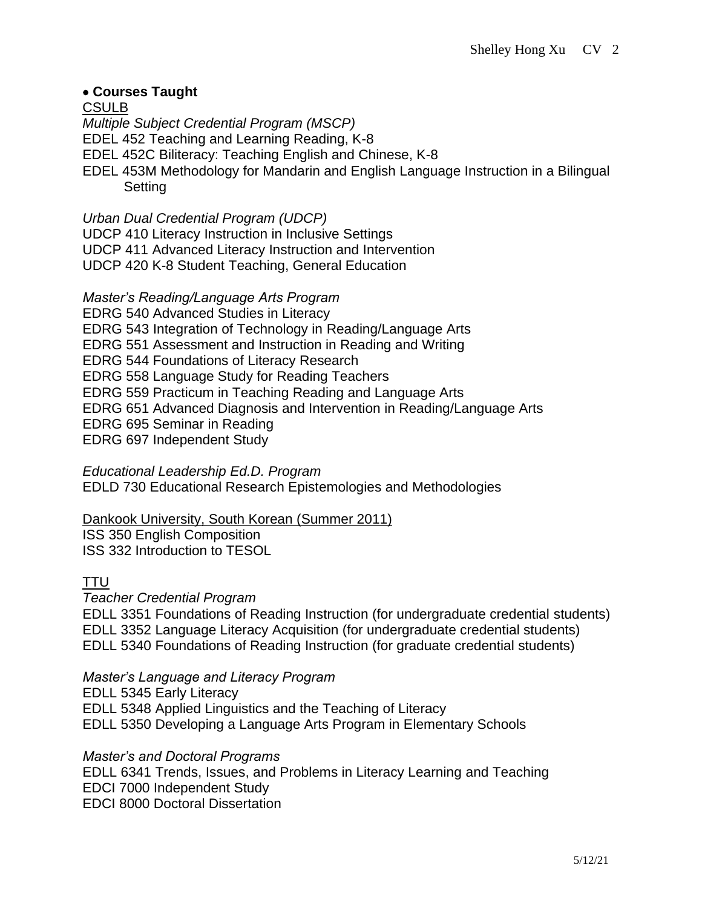## • **Courses Taught**

CSULB *Multiple Subject Credential Program (MSCP)* EDEL 452 Teaching and Learning Reading, K-8 EDEL 452C Biliteracy: Teaching English and Chinese, K-8 EDEL 453M Methodology for Mandarin and English Language Instruction in a Bilingual Setting

*Urban Dual Credential Program (UDCP)*

UDCP 410 Literacy Instruction in Inclusive Settings

UDCP 411 Advanced Literacy Instruction and Intervention

UDCP 420 K-8 Student Teaching, General Education

*Master's Reading/Language Arts Program*

EDRG 540 Advanced Studies in Literacy EDRG 543 Integration of Technology in Reading/Language Arts EDRG 551 Assessment and Instruction in Reading and Writing EDRG 544 Foundations of Literacy Research EDRG 558 Language Study for Reading Teachers EDRG 559 Practicum in Teaching Reading and Language Arts EDRG 651 Advanced Diagnosis and Intervention in Reading/Language Arts EDRG 695 Seminar in Reading EDRG 697 Independent Study

*Educational Leadership Ed.D. Program* EDLD 730 Educational Research Epistemologies and Methodologies

Dankook University, South Korean (Summer 2011)

ISS 350 English Composition ISS 332 Introduction to TESOL

### TTU

*Teacher Credential Program*

EDLL 3351 Foundations of Reading Instruction (for undergraduate credential students) EDLL 3352 Language Literacy Acquisition (for undergraduate credential students) EDLL 5340 Foundations of Reading Instruction (for graduate credential students)

*Master's Language and Literacy Program*

EDLL 5345 Early Literacy EDLL 5348 Applied Linguistics and the Teaching of Literacy EDLL 5350 Developing a Language Arts Program in Elementary Schools

*Master's and Doctoral Programs* EDLL 6341 Trends, Issues, and Problems in Literacy Learning and Teaching EDCI 7000 Independent Study EDCI 8000 Doctoral Dissertation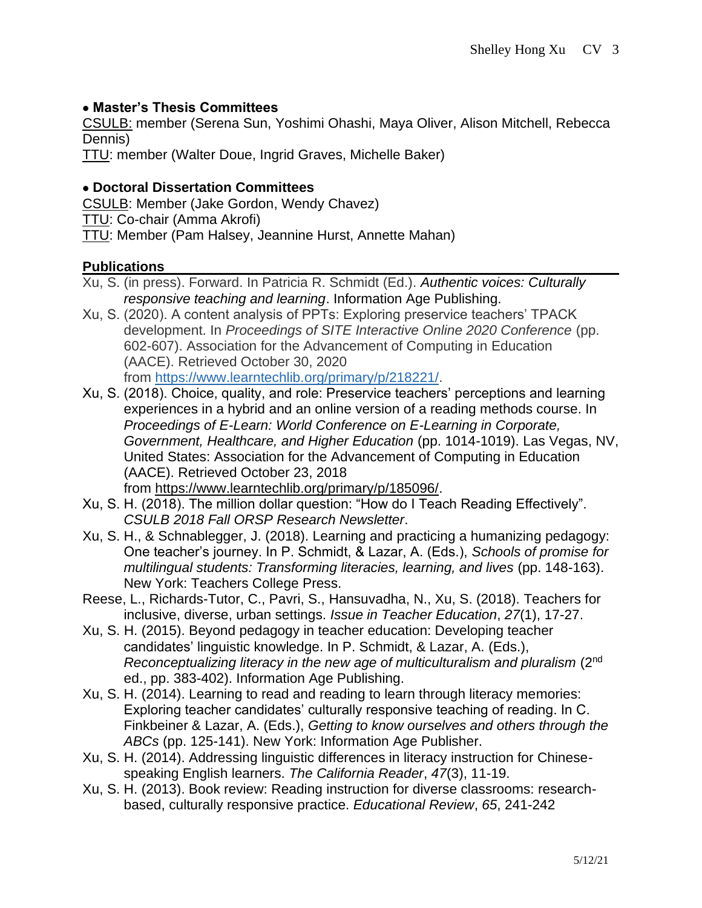### • **Master's Thesis Committees**

CSULB: member (Serena Sun, Yoshimi Ohashi, Maya Oliver, Alison Mitchell, Rebecca Dennis)

TTU: member (Walter Doue, Ingrid Graves, Michelle Baker)

### • **Doctoral Dissertation Committees**

CSULB: Member (Jake Gordon, Wendy Chavez)

TTU: Co-chair (Amma Akrofi)

TTU: Member (Pam Halsey, Jeannine Hurst, Annette Mahan)

### **Publications**

- Xu, S. (in press). Forward. In Patricia R. Schmidt (Ed.). *Authentic voices: Culturally responsive teaching and learning*. Information Age Publishing.
- Xu, S. (2020). A content analysis of PPTs: Exploring preservice teachers' TPACK development. In *Proceedings of SITE Interactive Online 2020 Conference* (pp. 602-607). Association for the Advancement of Computing in Education (AACE). Retrieved October 30, 2020 from [https://www.learntechlib.org/primary/p/218221/.](https://www.learntechlib.org/primary/p/218221/)
- Xu, S. (2018). Choice, quality, and role: Preservice teachers' perceptions and learning experiences in a hybrid and an online version of a reading methods course. In *Proceedings of E-Learn: World Conference on E-Learning in Corporate, Government, Healthcare, and Higher Education* (pp. 1014-1019). Las Vegas, NV, United States: Association for the Advancement of Computing in Education (AACE). Retrieved October 23, 2018 from [https://www.learntechlib.org/primary/p/185096/.](https://www.learntechlib.org/primary/p/185096/)
- Xu, S. H. (2018). The million dollar question: "How do I Teach Reading Effectively". *CSULB 2018 Fall ORSP Research Newsletter*.
- Xu, S. H., & Schnablegger, J. (2018). Learning and practicing a humanizing pedagogy: One teacher's journey. In P. Schmidt, & Lazar, A. (Eds.), *Schools of promise for multilingual students: Transforming literacies, learning, and lives* (pp. 148-163). New York: Teachers College Press.
- Reese, L., Richards-Tutor, C., Pavri, S., Hansuvadha, N., Xu, S. (2018). Teachers for inclusive, diverse, urban settings. *Issue in Teacher Education*, *27*(1), 17-27.
- Xu, S. H. (2015). Beyond pedagogy in teacher education: Developing teacher candidates' linguistic knowledge. In P. Schmidt, & Lazar, A. (Eds.), *Reconceptualizing literacy in the new age of multiculturalism and pluralism* (2nd ed., pp. 383-402). Information Age Publishing.
- Xu, S. H. (2014). Learning to read and reading to learn through literacy memories: Exploring teacher candidates' culturally responsive teaching of reading. In C. Finkbeiner & Lazar, A. (Eds.), *Getting to know ourselves and others through the ABCs* (pp. 125-141). New York: Information Age Publisher.
- Xu, S. H. (2014). Addressing linguistic differences in literacy instruction for Chinesespeaking English learners. *The California Reader*, *47*(3), 11-19.
- Xu, S. H. (2013). Book review: Reading instruction for diverse classrooms: researchbased, culturally responsive practice. *Educational Review*, *65*, 241-242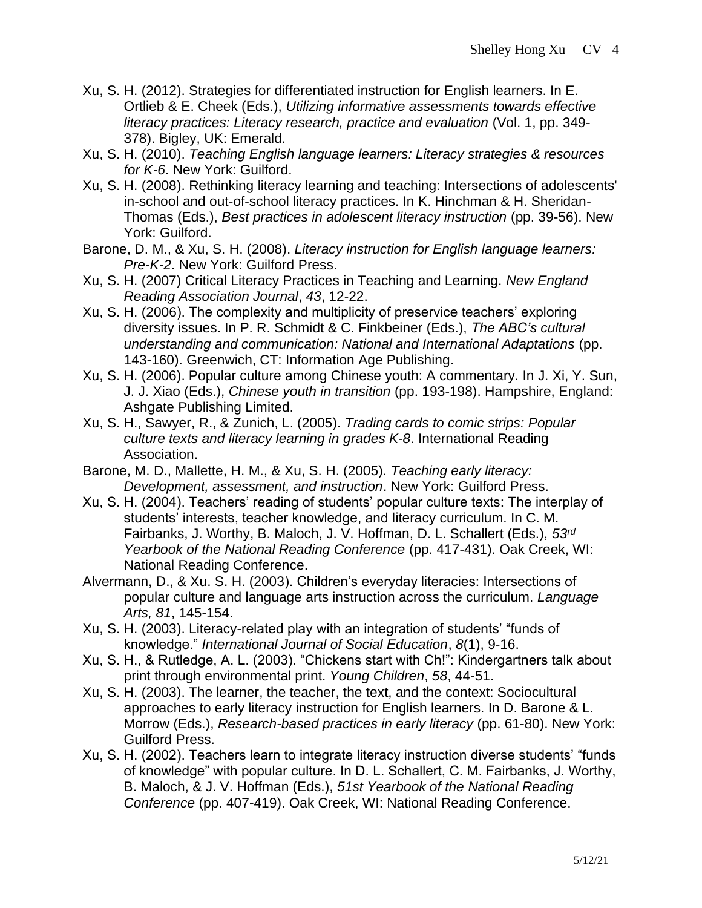- Xu, S. H. (2012). Strategies for differentiated instruction for English learners. In E. Ortlieb & E. Cheek (Eds.), *Utilizing informative assessments towards effective literacy practices: Literacy research, practice and evaluation* (Vol. 1, pp. 349- 378). Bigley, UK: Emerald.
- Xu, S. H. (2010). *Teaching English language learners: Literacy strategies & resources for K-6*. New York: Guilford.
- Xu, S. H. (2008). Rethinking literacy learning and teaching: Intersections of adolescents' in-school and out-of-school literacy practices. In K. Hinchman & H. Sheridan-Thomas (Eds.), *Best practices in adolescent literacy instruction* (pp. 39-56). New York: Guilford.
- Barone, D. M., & Xu, S. H. (2008). *Literacy instruction for English language learners: Pre-K-2*. New York: Guilford Press.
- Xu, S. H. (2007) Critical Literacy Practices in Teaching and Learning. *New England Reading Association Journal*, *43*, 12-22.
- Xu, S. H. (2006). The complexity and multiplicity of preservice teachers' exploring diversity issues. In P. R. Schmidt & C. Finkbeiner (Eds.), *The ABC's cultural understanding and communication: National and International Adaptations* (pp. 143-160). Greenwich, CT: Information Age Publishing.
- Xu, S. H. (2006). Popular culture among Chinese youth: A commentary. In J. Xi, Y. Sun, J. J. Xiao (Eds.), *Chinese youth in transition* (pp. 193-198). Hampshire, England: Ashgate Publishing Limited.
- Xu, S. H., Sawyer, R., & Zunich, L. (2005). *Trading cards to comic strips: Popular culture texts and literacy learning in grades K-8*. International Reading Association.
- Barone, M. D., Mallette, H. M., & Xu, S. H. (2005). *Teaching early literacy: Development, assessment, and instruction*. New York: Guilford Press.
- Xu, S. H. (2004). Teachers' reading of students' popular culture texts: The interplay of students' interests, teacher knowledge, and literacy curriculum. In C. M. Fairbanks, J. Worthy, B. Maloch, J. V. Hoffman, D. L. Schallert (Eds.), *53rd Yearbook of the National Reading Conference* (pp. 417-431). Oak Creek, WI: National Reading Conference.
- Alvermann, D., & Xu. S. H. (2003). Children's everyday literacies: Intersections of popular culture and language arts instruction across the curriculum. *Language Arts, 81*, 145-154.
- Xu, S. H. (2003). Literacy-related play with an integration of students' "funds of knowledge." *International Journal of Social Education*, *8*(1), 9-16.
- Xu, S. H., & Rutledge, A. L. (2003). "Chickens start with Ch!": Kindergartners talk about print through environmental print. *Young Children*, *58*, 44-51.
- Xu, S. H. (2003). The learner, the teacher, the text, and the context: Sociocultural approaches to early literacy instruction for English learners. In D. Barone & L. Morrow (Eds.), *Research-based practices in early literacy* (pp. 61-80). New York: Guilford Press.
- Xu, S. H. (2002). Teachers learn to integrate literacy instruction diverse students' "funds of knowledge" with popular culture. In D. L. Schallert, C. M. Fairbanks, J. Worthy, B. Maloch, & J. V. Hoffman (Eds.), *51st Yearbook of the National Reading Conference* (pp. 407-419). Oak Creek, WI: National Reading Conference.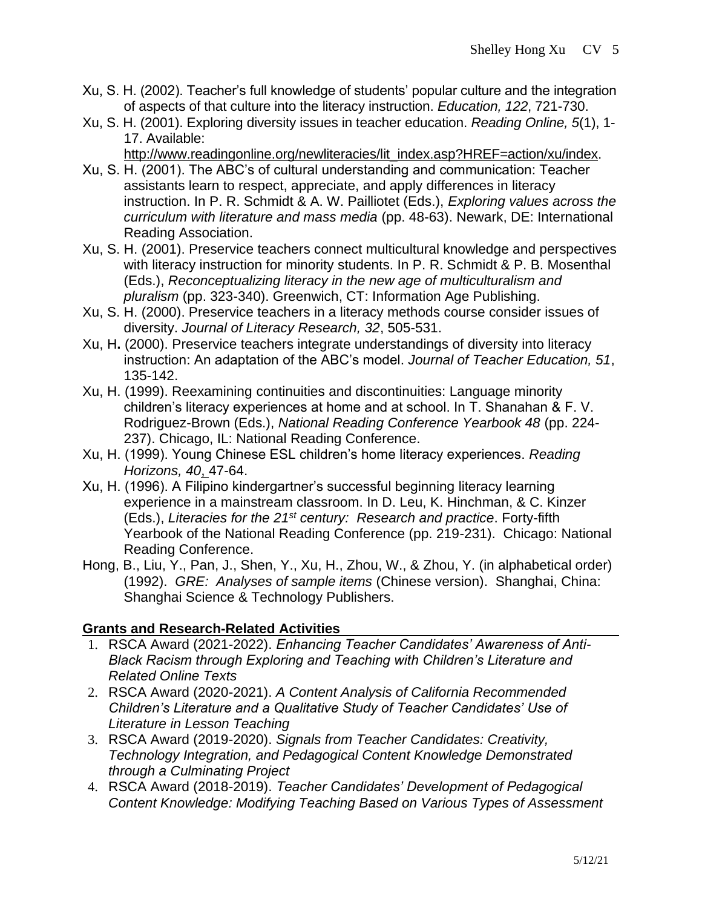- Xu, S. H. (2002). Teacher's full knowledge of students' popular culture and the integration of aspects of that culture into the literacy instruction. *Education, 122*, 721-730.
- Xu, S. H. (2001). Exploring diversity issues in teacher education. *Reading Online, 5*(1), 1- 17. Available:
	- [http://www.readingonline.org/newliteracies/lit\\_index.asp?HREF=action/xu/index.](http://www.readingonline.org/newliteracies/lit_index.asp?HREF=action/xu/index)
- Xu, S. H. (2001). The ABC's of cultural understanding and communication: Teacher assistants learn to respect, appreciate, and apply differences in literacy instruction. In P. R. Schmidt & A. W. Pailliotet (Eds.), *Exploring values across the curriculum with literature and mass media* (pp. 48-63). Newark, DE: International Reading Association.
- Xu, S. H. (2001). Preservice teachers connect multicultural knowledge and perspectives with literacy instruction for minority students. In P. R. Schmidt & P. B. Mosenthal (Eds.), *Reconceptualizing literacy in the new age of multiculturalism and pluralism* (pp. 323-340). Greenwich, CT: Information Age Publishing.
- Xu, S. H. (2000). Preservice teachers in a literacy methods course consider issues of diversity. *Journal of Literacy Research, 32*, 505-531.
- Xu, H**.** (2000). Preservice teachers integrate understandings of diversity into literacy instruction: An adaptation of the ABC's model. *Journal of Teacher Education, 51*, 135-142.
- Xu, H. (1999). Reexamining continuities and discontinuities: Language minority children's literacy experiences at home and at school. In T. Shanahan & F. V. Rodriguez-Brown (Eds.), *National Reading Conference Yearbook 48* (pp. 224- 237). Chicago, IL: National Reading Conference.
- Xu, H. (1999). Young Chinese ESL children's home literacy experiences. *Reading Horizons, 40*, 47-64.
- Xu, H. (1996). A Filipino kindergartner's successful beginning literacy learning experience in a mainstream classroom. In D. Leu, K. Hinchman, & C. Kinzer (Eds.), *Literacies for the 21st century: Research and practice*. Forty-fifth Yearbook of the National Reading Conference (pp. 219-231). Chicago: National Reading Conference.
- Hong, B., Liu, Y., Pan, J., Shen, Y., Xu, H., Zhou, W., & Zhou, Y. (in alphabetical order) (1992). *GRE: Analyses of sample items* (Chinese version). Shanghai, China: Shanghai Science & Technology Publishers.

### **Grants and Research-Related Activities**

- 1. RSCA Award (2021-2022). *Enhancing Teacher Candidates' Awareness of Anti-Black Racism through Exploring and Teaching with Children's Literature and Related Online Texts*
- 2. RSCA Award (2020-2021). *A Content Analysis of California Recommended Children's Literature and a Qualitative Study of Teacher Candidates' Use of Literature in Lesson Teaching*
- 3. RSCA Award (2019-2020). *Signals from Teacher Candidates: Creativity, Technology Integration, and Pedagogical Content Knowledge Demonstrated through a Culminating Project*
- 4. RSCA Award (2018-2019). *Teacher Candidates' Development of Pedagogical Content Knowledge: Modifying Teaching Based on Various Types of Assessment*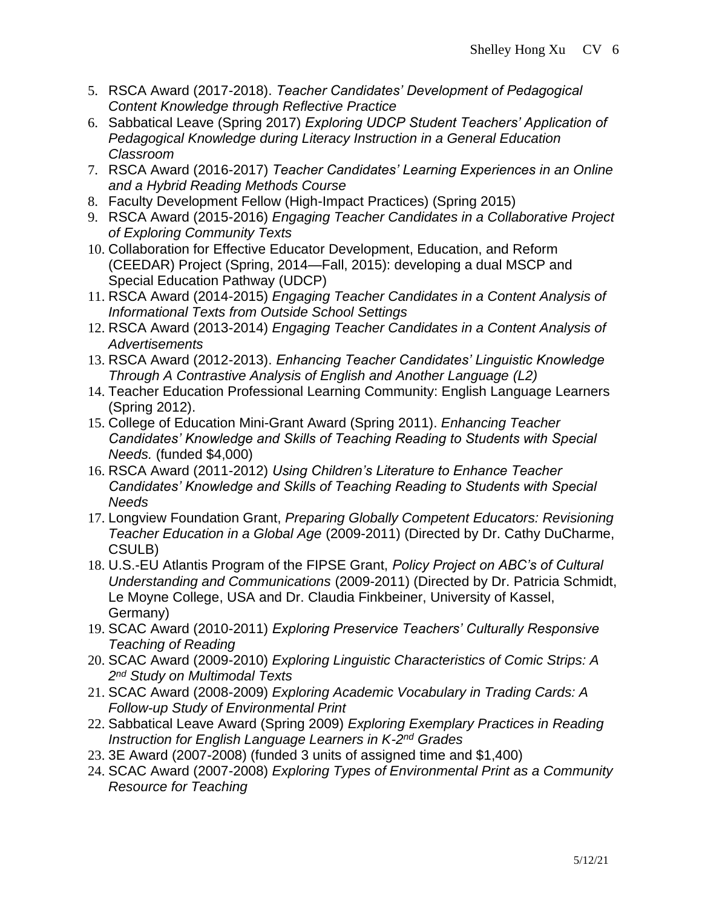- 5. RSCA Award (2017-2018). *Teacher Candidates' Development of Pedagogical Content Knowledge through Reflective Practice*
- 6. Sabbatical Leave (Spring 2017) *Exploring UDCP Student Teachers' Application of Pedagogical Knowledge during Literacy Instruction in a General Education Classroom*
- 7. RSCA Award (2016-2017) *Teacher Candidates' Learning Experiences in an Online and a Hybrid Reading Methods Course*
- 8. Faculty Development Fellow (High-Impact Practices) (Spring 2015)
- 9. RSCA Award (2015-2016) *Engaging Teacher Candidates in a Collaborative Project of Exploring Community Texts*
- 10. Collaboration for Effective Educator Development, Education, and Reform (CEEDAR) Project (Spring, 2014—Fall, 2015): developing a dual MSCP and Special Education Pathway (UDCP)
- 11. RSCA Award (2014-2015) *Engaging Teacher Candidates in a Content Analysis of Informational Texts from Outside School Settings*
- 12. RSCA Award (2013-2014) *Engaging Teacher Candidates in a Content Analysis of Advertisements*
- 13. RSCA Award (2012-2013). *Enhancing Teacher Candidates' Linguistic Knowledge Through A Contrastive Analysis of English and Another Language (L2)*
- 14. Teacher Education Professional Learning Community: English Language Learners (Spring 2012).
- 15. College of Education Mini-Grant Award (Spring 2011). *Enhancing Teacher Candidates' Knowledge and Skills of Teaching Reading to Students with Special Needs.* (funded \$4,000)
- 16. RSCA Award (2011-2012) *Using Children's Literature to Enhance Teacher Candidates' Knowledge and Skills of Teaching Reading to Students with Special Needs*
- 17. Longview Foundation Grant, *Preparing Globally Competent Educators: Revisioning Teacher Education in a Global Age* (2009-2011) (Directed by Dr. Cathy DuCharme, CSULB)
- 18. U.S.-EU Atlantis Program of the FIPSE Grant, *Policy Project on ABC's of Cultural Understanding and Communications* (2009-2011) (Directed by Dr. Patricia Schmidt, Le Moyne College, USA and Dr. Claudia Finkbeiner, University of Kassel, Germany)
- 19. SCAC Award (2010-2011) *Exploring Preservice Teachers' Culturally Responsive Teaching of Reading*
- 20. SCAC Award (2009-2010) *Exploring Linguistic Characteristics of Comic Strips: A 2 nd Study on Multimodal Texts*
- 21. SCAC Award (2008-2009) *Exploring Academic Vocabulary in Trading Cards: A Follow-up Study of Environmental Print*
- 22. Sabbatical Leave Award (Spring 2009) *Exploring Exemplary Practices in Reading*  Instruction for English Language Learners in K-2<sup>nd</sup> Grades
- 23. 3E Award (2007-2008) (funded 3 units of assigned time and \$1,400)
- 24. SCAC Award (2007-2008) *Exploring Types of Environmental Print as a Community Resource for Teaching*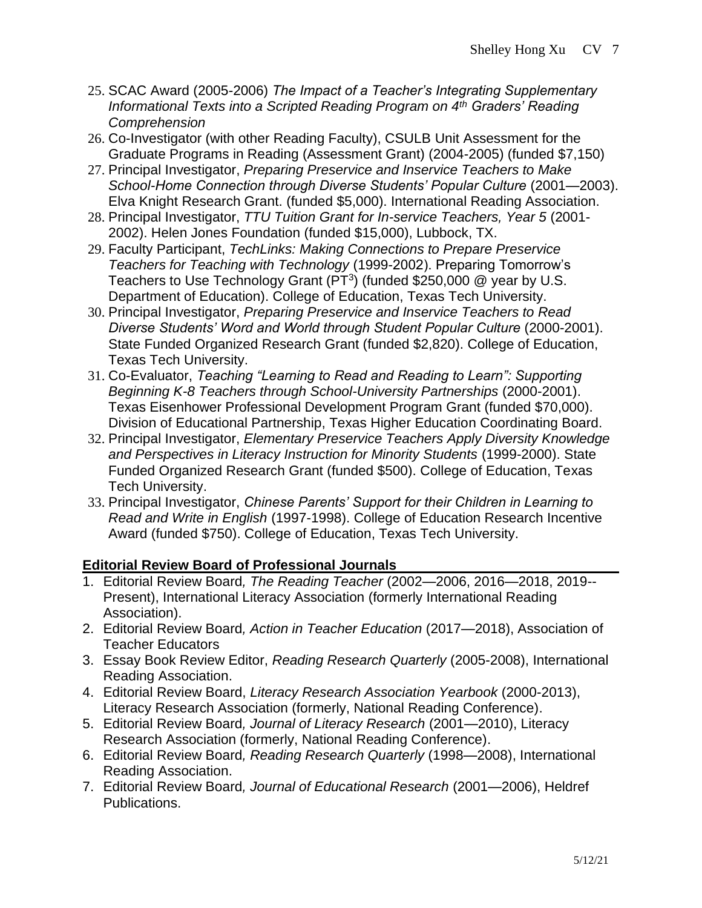- 25. SCAC Award (2005-2006) *The Impact of a Teacher's Integrating Supplementary Informational Texts into a Scripted Reading Program on 4th Graders' Reading Comprehension*
- 26. Co-Investigator (with other Reading Faculty), CSULB Unit Assessment for the Graduate Programs in Reading (Assessment Grant) (2004-2005) (funded \$7,150)
- 27. Principal Investigator, *Preparing Preservice and Inservice Teachers to Make School-Home Connection through Diverse Students' Popular Culture* (2001—2003). Elva Knight Research Grant. (funded \$5,000). International Reading Association.
- 28. Principal Investigator, *TTU Tuition Grant for In-service Teachers, Year 5* (2001- 2002). Helen Jones Foundation (funded \$15,000), Lubbock, TX.
- 29. Faculty Participant, *TechLinks: Making Connections to Prepare Preservice Teachers for Teaching with Technology* (1999-2002). Preparing Tomorrow's Teachers to Use Technology Grant (PT<sup>3</sup>) (funded \$250,000  $@$  year by U.S. Department of Education). College of Education, Texas Tech University.
- 30. Principal Investigator, *Preparing Preservice and Inservice Teachers to Read Diverse Students' Word and World through Student Popular Culture* (2000-2001). State Funded Organized Research Grant (funded \$2,820). College of Education, Texas Tech University.
- 31. Co-Evaluator, *Teaching "Learning to Read and Reading to Learn": Supporting Beginning K-8 Teachers through School-University Partnerships* (2000-2001). Texas Eisenhower Professional Development Program Grant (funded \$70,000). Division of Educational Partnership, Texas Higher Education Coordinating Board.
- 32. Principal Investigator, *Elementary Preservice Teachers Apply Diversity Knowledge and Perspectives in Literacy Instruction for Minority Students* (1999-2000). State Funded Organized Research Grant (funded \$500). College of Education, Texas Tech University.
- 33. Principal Investigator, *Chinese Parents' Support for their Children in Learning to Read and Write in English* (1997-1998). College of Education Research Incentive Award (funded \$750). College of Education, Texas Tech University.

# **Editorial Review Board of Professional Journals**

- 1. Editorial Review Board*, The Reading Teacher* (2002—2006, 2016—2018, 2019-- Present), International Literacy Association (formerly International Reading Association).
- 2. Editorial Review Board*, Action in Teacher Education* (2017—2018), Association of Teacher Educators
- 3. Essay Book Review Editor, *Reading Research Quarterly* (2005-2008), International Reading Association.
- 4. Editorial Review Board, *Literacy Research Association Yearbook* (2000-2013), Literacy Research Association (formerly, National Reading Conference).
- 5. Editorial Review Board*, Journal of Literacy Research* (2001—2010), Literacy Research Association (formerly, National Reading Conference).
- 6. Editorial Review Board*, Reading Research Quarterly* (1998—2008), International Reading Association.
- 7. Editorial Review Board*, Journal of Educational Research* (2001—2006), Heldref Publications.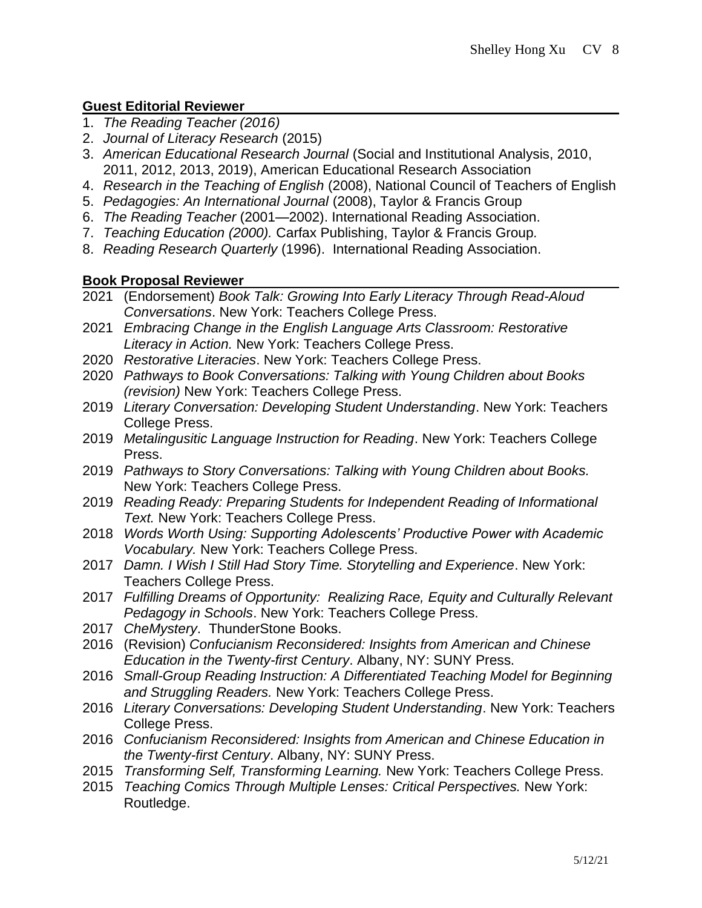# **Guest Editorial Reviewer**

- 1. *The Reading Teacher (2016)*
- 2. *Journal of Literacy Research* (2015)
- 3. *American Educational Research Journal* (Social and Institutional Analysis, 2010, 2011, 2012, 2013, 2019), American Educational Research Association
- 4. *Research in the Teaching of English* (2008), National Council of Teachers of English
- 5. *Pedagogies: An International Journal* (2008), Taylor & Francis Group
- 6. *The Reading Teacher* (2001—2002). International Reading Association.
- 7. *Teaching Education (2000).* Carfax Publishing, Taylor & Francis Group*.*
- 8. *Reading Research Quarterly* (1996). International Reading Association.

## **Book Proposal Reviewer**

- 2021 (Endorsement) *Book Talk: Growing Into Early Literacy Through Read-Aloud Conversations*. New York: Teachers College Press.
- 2021 *Embracing Change in the English Language Arts Classroom: Restorative Literacy in Action.* New York: Teachers College Press.
- 2020 *Restorative Literacies*. New York: Teachers College Press.
- 2020 *Pathways to Book Conversations: Talking with Young Children about Books (revision)* New York: Teachers College Press.
- 2019 *Literary Conversation: Developing Student Understanding*. New York: Teachers College Press.
- 2019 *Metalingusitic Language Instruction for Reading*. New York: Teachers College Press.
- 2019 *Pathways to Story Conversations: Talking with Young Children about Books.* New York: Teachers College Press.
- 2019 *Reading Ready: Preparing Students for Independent Reading of Informational Text.* New York: Teachers College Press.
- 2018 *Words Worth Using: Supporting Adolescents' Productive Power with Academic Vocabulary.* New York: Teachers College Press.
- 2017 *Damn. I Wish I Still Had Story Time. Storytelling and Experience*. New York: Teachers College Press.
- 2017 *Fulfilling Dreams of Opportunity: Realizing Race, Equity and Culturally Relevant Pedagogy in Schools*. New York: Teachers College Press.
- 2017 *CheMystery*. ThunderStone Books.
- 2016 (Revision) *Confucianism Reconsidered: Insights from American and Chinese Education in the Twenty-first Century*. Albany, NY: SUNY Press.
- 2016 *Small-Group Reading Instruction: A Differentiated Teaching Model for Beginning and Struggling Readers.* New York: Teachers College Press.
- 2016 *Literary Conversations: Developing Student Understanding*. New York: Teachers College Press.
- 2016 *Confucianism Reconsidered: Insights from American and Chinese Education in the Twenty-first Century*. Albany, NY: SUNY Press.
- 2015 *Transforming Self, Transforming Learning.* New York: Teachers College Press.
- 2015 *Teaching Comics Through Multiple Lenses: Critical Perspectives.* New York: Routledge.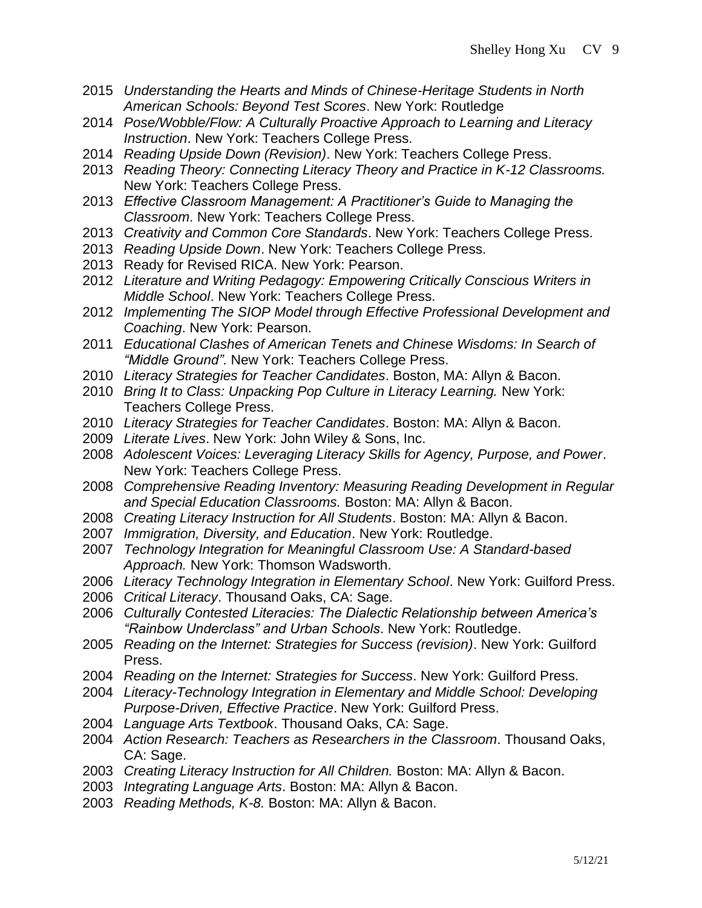- *Understanding the Hearts and Minds of Chinese-Heritage Students in North American Schools: Beyond Test Scores*. New York: Routledge
- *Pose/Wobble/Flow: A Culturally Proactive Approach to Learning and Literacy Instruction*. New York: Teachers College Press.
- *Reading Upside Down (Revision)*. New York: Teachers College Press.
- *Reading Theory: Connecting Literacy Theory and Practice in K-12 Classrooms.*  New York: Teachers College Press.
- *Effective Classroom Management: A Practitioner's Guide to Managing the Classroom*. New York: Teachers College Press.
- *Creativity and Common Core Standards*. New York: Teachers College Press.
- *Reading Upside Down*. New York: Teachers College Press.
- Ready for Revised RICA. New York: Pearson.
- *Literature and Writing Pedagogy: Empowering Critically Conscious Writers in Middle School*. New York: Teachers College Press.
- *Implementing The SIOP Model through Effective Professional Development and Coaching*. New York: Pearson.
- *Educational Clashes of American Tenets and Chinese Wisdoms: In Search of "Middle Ground".* New York: Teachers College Press.
- *Literacy Strategies for Teacher Candidates*. Boston, MA: Allyn & Bacon.
- *Bring It to Class: Unpacking Pop Culture in Literacy Learning.* New York: Teachers College Press.
- *Literacy Strategies for Teacher Candidates*. Boston: MA: Allyn & Bacon.
- *Literate Lives*. New York: John Wiley & Sons, Inc.
- *Adolescent Voices: Leveraging Literacy Skills for Agency, Purpose, and Power*. New York: Teachers College Press.
- *Comprehensive Reading Inventory: Measuring Reading Development in Regular and Special Education Classrooms.* Boston: MA: Allyn & Bacon.
- *Creating Literacy Instruction for All Students*. Boston: MA: Allyn & Bacon.
- *Immigration, Diversity, and Education*. New York: Routledge.
- *Technology Integration for Meaningful Classroom Use: A Standard-based Approach.* New York: Thomson Wadsworth.
- *Literacy Technology Integration in Elementary School*. New York: Guilford Press.
- *Critical Literacy*. Thousand Oaks, CA: Sage.
- *Culturally Contested Literacies: The Dialectic Relationship between America's "Rainbow Underclass" and Urban Schools*. New York: Routledge.
- *Reading on the Internet: Strategies for Success (revision)*. New York: Guilford Press.
- *Reading on the Internet: Strategies for Success*. New York: Guilford Press.
- *Literacy-Technology Integration in Elementary and Middle School: Developing Purpose-Driven, Effective Practice*. New York: Guilford Press.
- *Language Arts Textbook*. Thousand Oaks, CA: Sage.
- *Action Research: Teachers as Researchers in the Classroom*. Thousand Oaks, CA: Sage.
- *Creating Literacy Instruction for All Children.* Boston: MA: Allyn & Bacon.
- *Integrating Language Arts*. Boston: MA: Allyn & Bacon.
- *Reading Methods, K-8.* Boston: MA: Allyn & Bacon.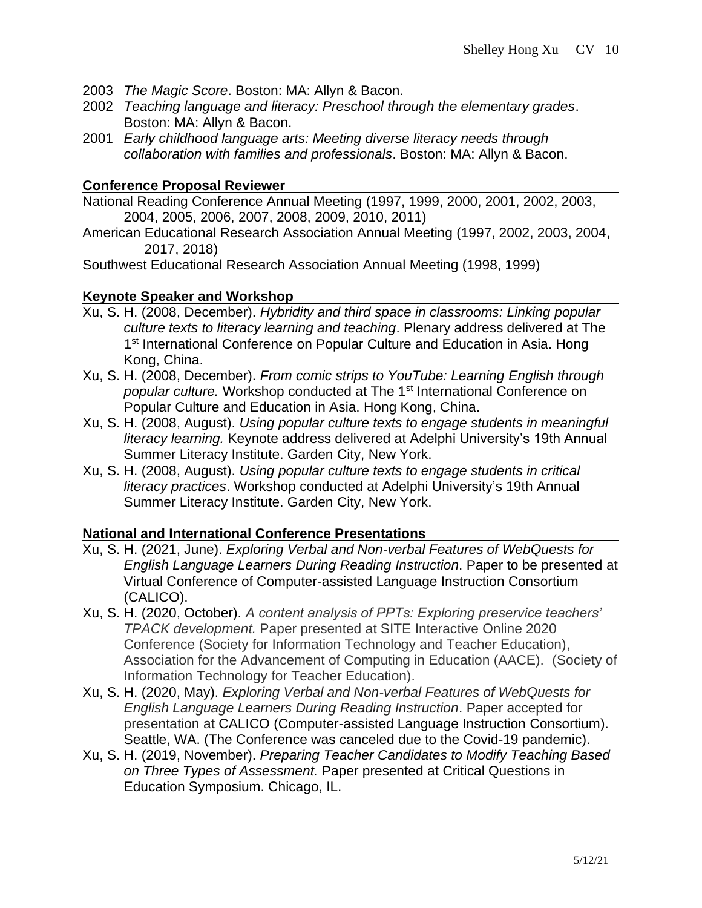- 2003 *The Magic Score*. Boston: MA: Allyn & Bacon.
- 2002 *Teaching language and literacy: Preschool through the elementary grades*. Boston: MA: Allyn & Bacon.
- 2001 *Early childhood language arts: Meeting diverse literacy needs through collaboration with families and professionals*. Boston: MA: Allyn & Bacon.

#### **Conference Proposal Reviewer**

National Reading Conference Annual Meeting (1997, 1999, 2000, 2001, 2002, 2003, 2004, 2005, 2006, 2007, 2008, 2009, 2010, 2011)

American Educational Research Association Annual Meeting (1997, 2002, 2003, 2004, 2017, 2018)

Southwest Educational Research Association Annual Meeting (1998, 1999)

### **Keynote Speaker and Workshop**

- Xu, S. H. (2008, December). *Hybridity and third space in classrooms: Linking popular culture texts to literacy learning and teaching*. Plenary address delivered at The 1<sup>st</sup> International Conference on Popular Culture and Education in Asia. Hong Kong, China.
- Xu, S. H. (2008, December). *From comic strips to YouTube: Learning English through popular culture.* Workshop conducted at The 1st International Conference on Popular Culture and Education in Asia. Hong Kong, China.
- Xu, S. H. (2008, August). *Using popular culture texts to engage students in meaningful literacy learning.* Keynote address delivered at Adelphi University's 19th Annual Summer Literacy Institute. Garden City, New York.
- Xu, S. H. (2008, August). *Using popular culture texts to engage students in critical literacy practices*. Workshop conducted at Adelphi University's 19th Annual Summer Literacy Institute. Garden City, New York.

### **National and International Conference Presentations**

- Xu, S. H. (2021, June). *Exploring Verbal and Non-verbal Features of WebQuests for English Language Learners During Reading Instruction*. Paper to be presented at Virtual Conference of Computer-assisted Language Instruction Consortium (CALICO).
- Xu, S. H. (2020, October). *A content analysis of PPTs: Exploring preservice teachers' TPACK development.* Paper presented at SITE Interactive Online 2020 Conference (Society for Information Technology and Teacher Education), Association for the Advancement of Computing in Education (AACE). (Society of Information Technology for Teacher Education).
- Xu, S. H. (2020, May). *Exploring Verbal and Non-verbal Features of WebQuests for English Language Learners During Reading Instruction*. Paper accepted for presentation at CALICO (Computer-assisted Language Instruction Consortium). Seattle, WA. (The Conference was canceled due to the Covid-19 pandemic).
- Xu, S. H. (2019, November). *Preparing Teacher Candidates to Modify Teaching Based on Three Types of Assessment.* Paper presented at Critical Questions in Education Symposium. Chicago, IL.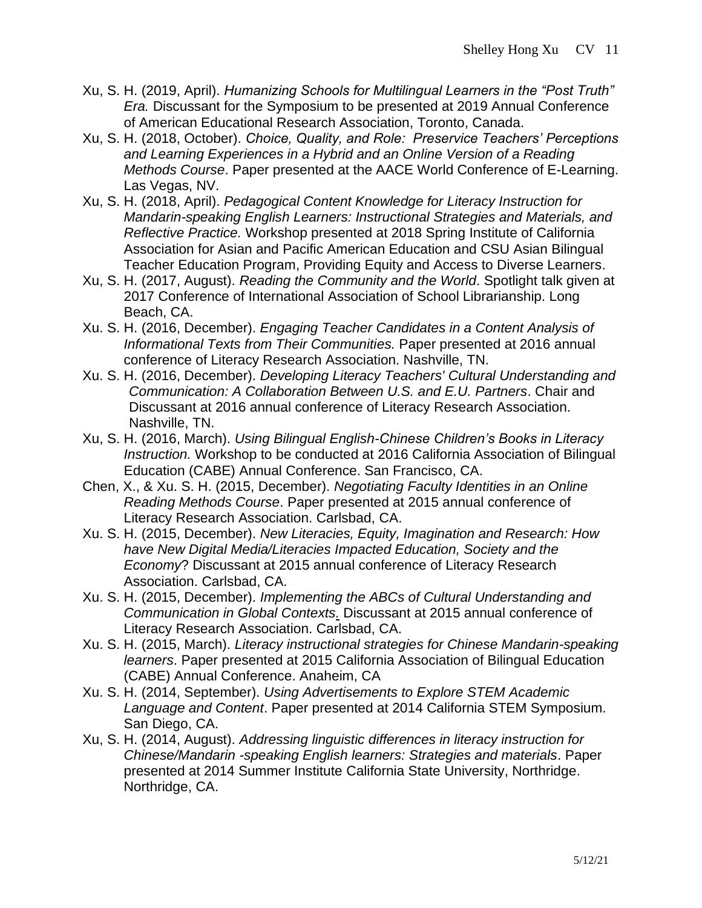- Xu, S. H. (2019, April). *Humanizing Schools for Multilingual Learners in the "Post Truth" Era.* Discussant for the Symposium to be presented at 2019 Annual Conference of American Educational Research Association, Toronto, Canada.
- Xu, S. H. (2018, October). *Choice, Quality, and Role: Preservice Teachers' Perceptions and Learning Experiences in a Hybrid and an Online Version of a Reading Methods Course*. Paper presented at the AACE World Conference of E-Learning. Las Vegas, NV.
- Xu, S. H. (2018, April). *Pedagogical Content Knowledge for Literacy Instruction for Mandarin-speaking English Learners: Instructional Strategies and Materials, and Reflective Practice.* Workshop presented at 2018 Spring Institute of California Association for Asian and Pacific American Education and CSU Asian Bilingual Teacher Education Program, Providing Equity and Access to Diverse Learners.
- Xu, S. H. (2017, August). *Reading the Community and the World*. Spotlight talk given at 2017 Conference of International Association of School Librarianship. Long Beach, CA.
- Xu. S. H. (2016, December). *Engaging Teacher Candidates in a Content Analysis of Informational Texts from Their Communities.* Paper presented at 2016 annual conference of Literacy Research Association. Nashville, TN.
- Xu. S. H. (2016, December). *Developing Literacy Teachers' Cultural Understanding and Communication: A Collaboration Between U.S. and E.U. Partners*. Chair and Discussant at 2016 annual conference of Literacy Research Association. Nashville, TN.
- Xu, S. H. (2016, March). *Using Bilingual English-Chinese Children's Books in Literacy Instruction.* Workshop to be conducted at 2016 California Association of Bilingual Education (CABE) Annual Conference. San Francisco, CA.
- Chen, X., & Xu. S. H. (2015, December). *Negotiating Faculty Identities in an Online Reading Methods Course*. Paper presented at 2015 annual conference of Literacy Research Association. Carlsbad, CA.
- Xu. S. H. (2015, December). *New Literacies, Equity, Imagination and Research: How have New Digital Media/Literacies Impacted Education, Society and the Economy*? Discussant at 2015 annual conference of Literacy Research Association. Carlsbad, CA.
- Xu. S. H. (2015, December). *Implementing the ABCs of Cultural Understanding and Communication in Global Contexts.* Discussant at 2015 annual conference of Literacy Research Association. Carlsbad, CA.
- Xu. S. H. (2015, March). *Literacy instructional strategies for Chinese Mandarin-speaking learners*. Paper presented at 2015 California Association of Bilingual Education (CABE) Annual Conference. Anaheim, CA
- Xu. S. H. (2014, September). *Using Advertisements to Explore STEM Academic Language and Content*. Paper presented at 2014 California STEM Symposium. San Diego, CA.
- Xu, S. H. (2014, August). *Addressing linguistic differences in literacy instruction for Chinese/Mandarin -speaking English learners: Strategies and materials*. Paper presented at 2014 Summer Institute California State University, Northridge. Northridge, CA.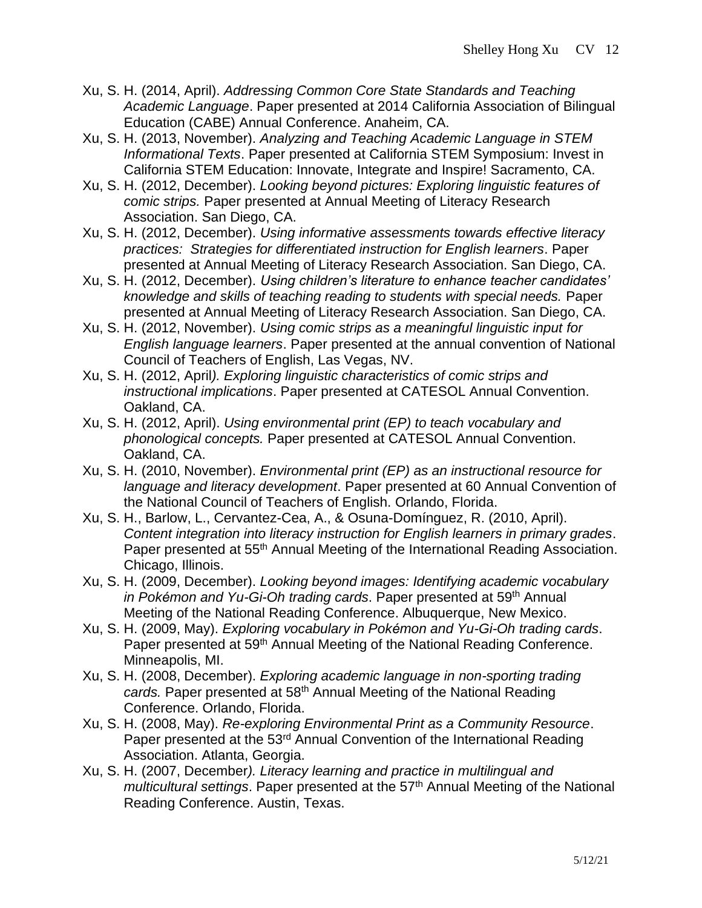- Xu, S. H. (2014, April). *Addressing Common Core State Standards and Teaching Academic Language*. Paper presented at 2014 California Association of Bilingual Education (CABE) Annual Conference. Anaheim, CA.
- Xu, S. H. (2013, November). *Analyzing and Teaching Academic Language in STEM Informational Texts*. Paper presented at California STEM Symposium: Invest in California STEM Education: Innovate, Integrate and Inspire! Sacramento, CA.
- Xu, S. H. (2012, December). *Looking beyond pictures: Exploring linguistic features of comic strips.* Paper presented at Annual Meeting of Literacy Research Association. San Diego, CA.
- Xu, S. H. (2012, December). *Using informative assessments towards effective literacy practices: Strategies for differentiated instruction for English learners*. Paper presented at Annual Meeting of Literacy Research Association. San Diego, CA.
- Xu, S. H. (2012, December). *Using children's literature to enhance teacher candidates' knowledge and skills of teaching reading to students with special needs.* Paper presented at Annual Meeting of Literacy Research Association. San Diego, CA.
- Xu, S. H. (2012, November). *Using comic strips as a meaningful linguistic input for English language learners*. Paper presented at the annual convention of National Council of Teachers of English, Las Vegas, NV.
- Xu, S. H. (2012, April*). Exploring linguistic characteristics of comic strips and instructional implications*. Paper presented at CATESOL Annual Convention. Oakland, CA.
- Xu, S. H. (2012, April). *Using environmental print (EP) to teach vocabulary and phonological concepts.* Paper presented at CATESOL Annual Convention. Oakland, CA.
- Xu, S. H. (2010, November). *Environmental print (EP) as an instructional resource for language and literacy development*. Paper presented at 60 Annual Convention of the National Council of Teachers of English. Orlando, Florida.
- Xu, S. H., Barlow, L., Cervantez-Cea, A., & Osuna-Domínguez, R. (2010, April). *Content integration into literacy instruction for English learners in primary grades*. Paper presented at 55<sup>th</sup> Annual Meeting of the International Reading Association. Chicago, Illinois.
- Xu, S. H. (2009, December). *Looking beyond images: Identifying academic vocabulary in Pokémon and Yu-Gi-Oh trading cards*. Paper presented at 59<sup>th</sup> Annual Meeting of the National Reading Conference. Albuquerque, New Mexico.
- Xu, S. H. (2009, May). *Exploring vocabulary in Pokémon and Yu-Gi-Oh trading cards*. Paper presented at 59<sup>th</sup> Annual Meeting of the National Reading Conference. Minneapolis, MI.
- Xu, S. H. (2008, December). *Exploring academic language in non-sporting trading cards.* Paper presented at 58th Annual Meeting of the National Reading Conference. Orlando, Florida.
- Xu, S. H. (2008, May). *Re-exploring Environmental Print as a Community Resource*. Paper presented at the 53<sup>rd</sup> Annual Convention of the International Reading Association. Atlanta, Georgia.
- Xu, S. H. (2007, December*). Literacy learning and practice in multilingual and multicultural settings.* Paper presented at the 57<sup>th</sup> Annual Meeting of the National Reading Conference. Austin, Texas.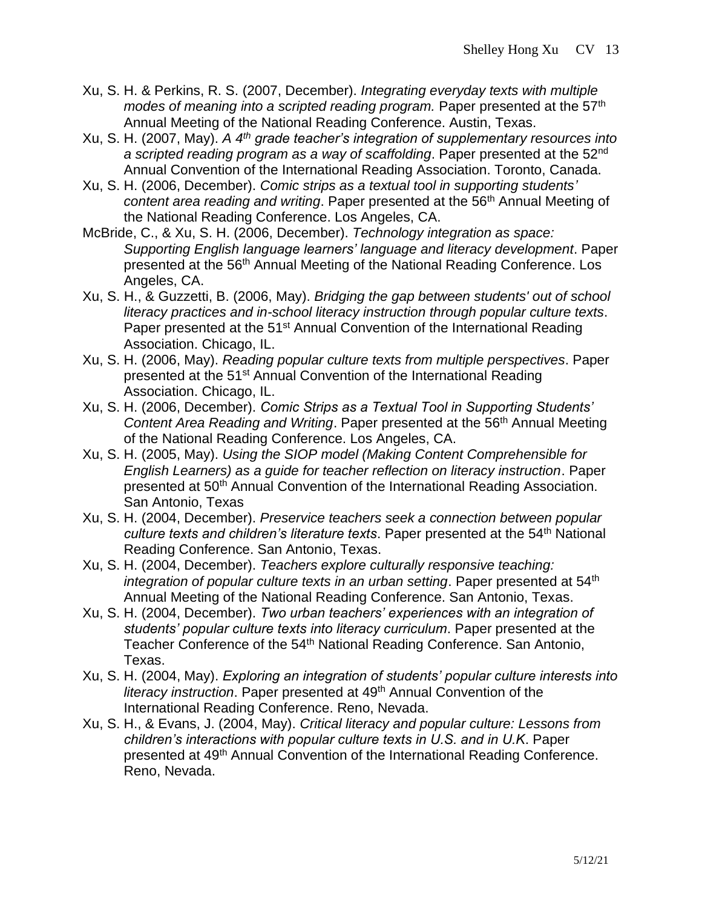- Xu, S. H. & Perkins, R. S. (2007, December). *Integrating everyday texts with multiple modes of meaning into a scripted reading program.* Paper presented at the 57<sup>th</sup> Annual Meeting of the National Reading Conference. Austin, Texas.
- Xu, S. H. (2007, May). *A 4th grade teacher's integration of supplementary resources into a scripted reading program as a way of scaffolding*. Paper presented at the 52nd Annual Convention of the International Reading Association. Toronto, Canada.
- Xu, S. H. (2006, December). *Comic strips as a textual tool in supporting students' content area reading and writing*. Paper presented at the 56th Annual Meeting of the National Reading Conference. Los Angeles, CA.
- McBride, C., & Xu, S. H. (2006, December). *Technology integration as space: Supporting English language learners' language and literacy development*. Paper presented at the 56<sup>th</sup> Annual Meeting of the National Reading Conference. Los Angeles, CA.
- Xu, S. H., & Guzzetti, B. (2006, May). *Bridging the gap between students' out of school literacy practices and in-school literacy instruction through popular culture texts*. Paper presented at the 51<sup>st</sup> Annual Convention of the International Reading Association. Chicago, IL.
- Xu, S. H. (2006, May). *Reading popular culture texts from multiple perspectives*. Paper presented at the 51<sup>st</sup> Annual Convention of the International Reading Association. Chicago, IL.
- Xu, S. H. (2006, December). *Comic Strips as a Textual Tool in Supporting Students' Content Area Reading and Writing.* Paper presented at the 56<sup>th</sup> Annual Meeting of the National Reading Conference. Los Angeles, CA.
- Xu, S. H. (2005, May). *Using the SIOP model (Making Content Comprehensible for English Learners) as a guide for teacher reflection on literacy instruction*. Paper presented at 50<sup>th</sup> Annual Convention of the International Reading Association. San Antonio, Texas
- Xu, S. H. (2004, December). *Preservice teachers seek a connection between popular culture texts and children's literature texts*. Paper presented at the 54th National Reading Conference. San Antonio, Texas.
- Xu, S. H. (2004, December). *Teachers explore culturally responsive teaching:*  integration of popular culture texts in an urban setting. Paper presented at 54<sup>th</sup> Annual Meeting of the National Reading Conference. San Antonio, Texas.
- Xu, S. H. (2004, December). *Two urban teachers' experiences with an integration of students' popular culture texts into literacy curriculum*. Paper presented at the Teacher Conference of the 54<sup>th</sup> National Reading Conference. San Antonio, Texas.
- Xu, S. H. (2004, May). *Exploring an integration of students' popular culture interests into literacy instruction*. Paper presented at 49th Annual Convention of the International Reading Conference. Reno, Nevada.
- Xu, S. H., & Evans, J. (2004, May). *Critical literacy and popular culture: Lessons from children's interactions with popular culture texts in U.S. and in U.K*. Paper presented at 49<sup>th</sup> Annual Convention of the International Reading Conference. Reno, Nevada.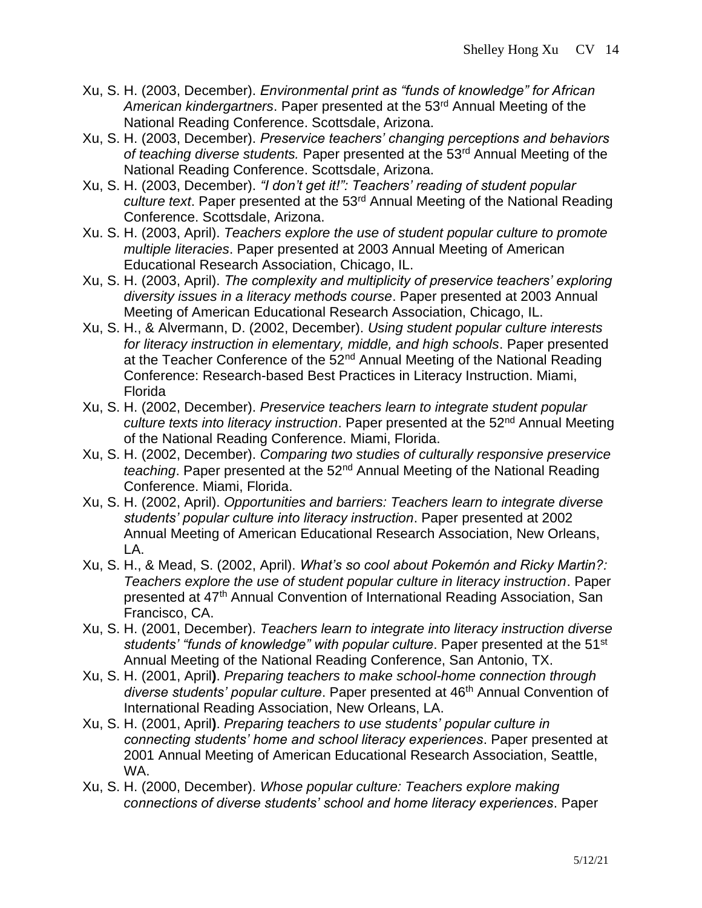- Xu, S. H. (2003, December). *Environmental print as "funds of knowledge" for African American kindergartners*. Paper presented at the 53rd Annual Meeting of the National Reading Conference. Scottsdale, Arizona.
- Xu, S. H. (2003, December). *Preservice teachers' changing perceptions and behaviors of teaching diverse students.* Paper presented at the 53rd Annual Meeting of the National Reading Conference. Scottsdale, Arizona.
- Xu, S. H. (2003, December). *"I don't get it!": Teachers' reading of student popular culture text*. Paper presented at the 53rd Annual Meeting of the National Reading Conference. Scottsdale, Arizona.
- Xu. S. H. (2003, April). *Teachers explore the use of student popular culture to promote multiple literacies*. Paper presented at 2003 Annual Meeting of American Educational Research Association, Chicago, IL.
- Xu, S. H. (2003, April). *The complexity and multiplicity of preservice teachers' exploring diversity issues in a literacy methods course*. Paper presented at 2003 Annual Meeting of American Educational Research Association, Chicago, IL.
- Xu, S. H., & Alvermann, D. (2002, December). *Using student popular culture interests for literacy instruction in elementary, middle, and high schools*. Paper presented at the Teacher Conference of the 52<sup>nd</sup> Annual Meeting of the National Reading Conference: Research-based Best Practices in Literacy Instruction. Miami, Florida
- Xu, S. H. (2002, December). *Preservice teachers learn to integrate student popular culture texts into literacy instruction*. Paper presented at the 52nd Annual Meeting of the National Reading Conference. Miami, Florida.
- Xu, S. H. (2002, December). *Comparing two studies of culturally responsive preservice teaching*. Paper presented at the 52nd Annual Meeting of the National Reading Conference. Miami, Florida.
- Xu, S. H. (2002, April). *Opportunities and barriers: Teachers learn to integrate diverse students' popular culture into literacy instruction*. Paper presented at 2002 Annual Meeting of American Educational Research Association, New Orleans, LA.
- Xu, S. H., & Mead, S. (2002, April). *What's so cool about Pokemón and Ricky Martin?: Teachers explore the use of student popular culture in literacy instruction*. Paper presented at 47<sup>th</sup> Annual Convention of International Reading Association, San Francisco, CA.
- Xu, S. H. (2001, December). *Teachers learn to integrate into literacy instruction diverse students' "funds of knowledge" with popular culture*. Paper presented at the 51st Annual Meeting of the National Reading Conference, San Antonio, TX.
- Xu, S. H. (2001, April**)**. *Preparing teachers to make school-home connection through*  diverse students' popular culture. Paper presented at 46<sup>th</sup> Annual Convention of International Reading Association, New Orleans, LA.
- Xu, S. H. (2001, April**)**. *Preparing teachers to use students' popular culture in connecting students' home and school literacy experiences*. Paper presented at 2001 Annual Meeting of American Educational Research Association, Seattle, WA.
- Xu, S. H. (2000, December). *Whose popular culture: Teachers explore making connections of diverse students' school and home literacy experiences*. Paper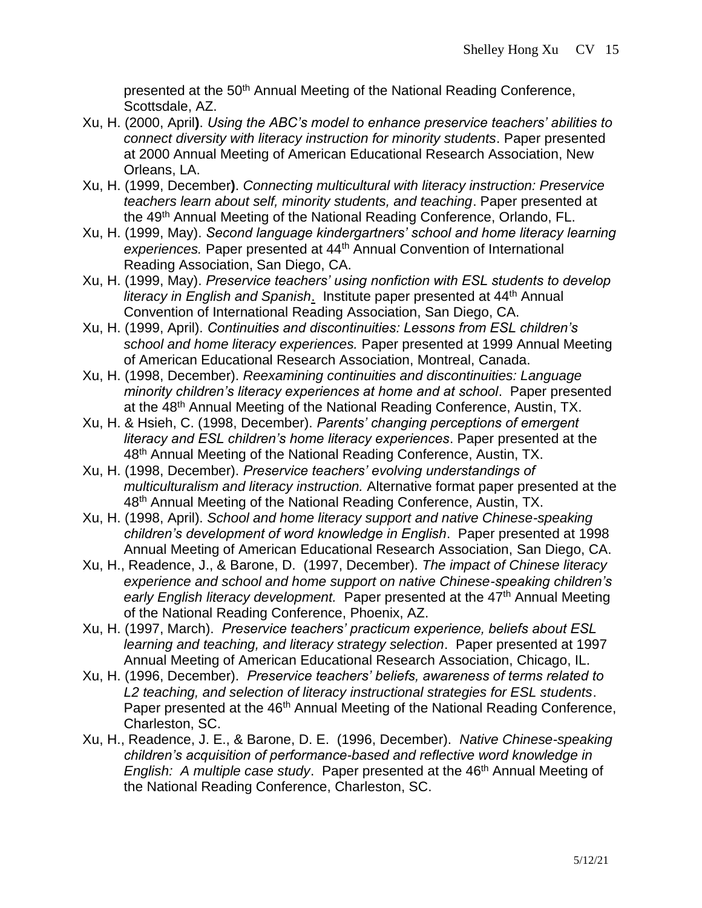presented at the 50<sup>th</sup> Annual Meeting of the National Reading Conference, Scottsdale, AZ.

- Xu, H. (2000, April**)**. *Using the ABC's model to enhance preservice teachers' abilities to connect diversity with literacy instruction for minority students*. Paper presented at 2000 Annual Meeting of American Educational Research Association, New Orleans, LA.
- Xu, H. (1999, December**)**. *Connecting multicultural with literacy instruction: Preservice teachers learn about self, minority students, and teaching*. Paper presented at the 49<sup>th</sup> Annual Meeting of the National Reading Conference, Orlando, FL.
- Xu, H. (1999, May). *Second language kindergartners' school and home literacy learning experiences.* Paper presented at 44th Annual Convention of International Reading Association, San Diego, CA.
- Xu, H. (1999, May). *Preservice teachers' using nonfiction with ESL students to develop literacy in English and Spanish.* Institute paper presented at 44<sup>th</sup> Annual Convention of International Reading Association, San Diego, CA.
- Xu, H. (1999, April). *Continuities and discontinuities: Lessons from ESL children's school and home literacy experiences.* Paper presented at 1999 Annual Meeting of American Educational Research Association, Montreal, Canada.
- Xu, H. (1998, December). *Reexamining continuities and discontinuities: Language minority children's literacy experiences at home and at school*. Paper presented at the 48<sup>th</sup> Annual Meeting of the National Reading Conference, Austin, TX.
- Xu, H. & Hsieh, C. (1998, December). *Parents' changing perceptions of emergent literacy and ESL children's home literacy experiences*. Paper presented at the 48<sup>th</sup> Annual Meeting of the National Reading Conference, Austin, TX.
- Xu, H. (1998, December). *Preservice teachers' evolving understandings of multiculturalism and literacy instruction.* Alternative format paper presented at the 48<sup>th</sup> Annual Meeting of the National Reading Conference, Austin, TX.
- Xu, H. (1998, April). *School and home literacy support and native Chinese-speaking children's development of word knowledge in English*. Paper presented at 1998 Annual Meeting of American Educational Research Association, San Diego, CA.
- Xu, H., Readence, J., & Barone, D.(1997, December). *The impact of Chinese literacy experience and school and home support on native Chinese-speaking children's*  early English literacy development. Paper presented at the 47<sup>th</sup> Annual Meeting of the National Reading Conference, Phoenix, AZ.
- Xu, H. (1997, March). *Preservice teachers' practicum experience, beliefs about ESL learning and teaching, and literacy strategy selection*. Paper presented at 1997 Annual Meeting of American Educational Research Association, Chicago, IL.
- Xu, H. (1996, December). *Preservice teachers' beliefs, awareness of terms related to L2 teaching, and selection of literacy instructional strategies for ESL students*. Paper presented at the 46<sup>th</sup> Annual Meeting of the National Reading Conference, Charleston, SC.
- Xu, H., Readence, J. E., & Barone, D. E. (1996, December). *Native Chinese-speaking children's acquisition of performance-based and reflective word knowledge in English: A multiple case study.* Paper presented at the 46<sup>th</sup> Annual Meeting of the National Reading Conference, Charleston, SC.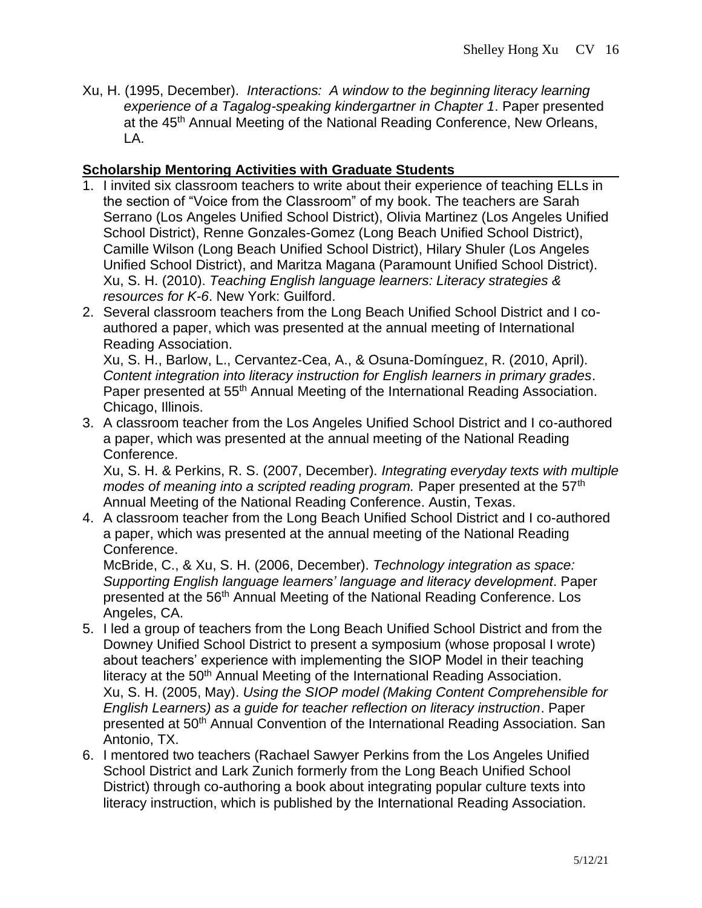Xu, H. (1995, December). *Interactions: A window to the beginning literacy learning experience of a Tagalog-speaking kindergartner in Chapter 1*. Paper presented at the 45<sup>th</sup> Annual Meeting of the National Reading Conference, New Orleans, LA.

## **Scholarship Mentoring Activities with Graduate Students**

- 1. I invited six classroom teachers to write about their experience of teaching ELLs in the section of "Voice from the Classroom" of my book. The teachers are Sarah Serrano (Los Angeles Unified School District), Olivia Martinez (Los Angeles Unified School District), Renne Gonzales-Gomez (Long Beach Unified School District), Camille Wilson (Long Beach Unified School District), Hilary Shuler (Los Angeles Unified School District), and Maritza Magana (Paramount Unified School District). Xu, S. H. (2010). *Teaching English language learners: Literacy strategies & resources for K-6*. New York: Guilford.
- 2. Several classroom teachers from the Long Beach Unified School District and I coauthored a paper, which was presented at the annual meeting of International Reading Association.

Xu, S. H., Barlow, L., Cervantez-Cea, A., & Osuna-Domínguez, R. (2010, April). *Content integration into literacy instruction for English learners in primary grades*. Paper presented at 55<sup>th</sup> Annual Meeting of the International Reading Association. Chicago, Illinois.

3. A classroom teacher from the Los Angeles Unified School District and I co-authored a paper, which was presented at the annual meeting of the National Reading Conference.

Xu, S. H. & Perkins, R. S. (2007, December). *Integrating everyday texts with multiple modes of meaning into a scripted reading program.* Paper presented at the 57<sup>th</sup> Annual Meeting of the National Reading Conference. Austin, Texas.

4. A classroom teacher from the Long Beach Unified School District and I co-authored a paper, which was presented at the annual meeting of the National Reading Conference.

McBride, C., & Xu, S. H. (2006, December). *Technology integration as space: Supporting English language learners' language and literacy development*. Paper presented at the 56<sup>th</sup> Annual Meeting of the National Reading Conference. Los Angeles, CA.

- 5. I led a group of teachers from the Long Beach Unified School District and from the Downey Unified School District to present a symposium (whose proposal I wrote) about teachers' experience with implementing the SIOP Model in their teaching literacy at the 50<sup>th</sup> Annual Meeting of the International Reading Association. Xu, S. H. (2005, May). *Using the SIOP model (Making Content Comprehensible for English Learners) as a guide for teacher reflection on literacy instruction*. Paper presented at 50<sup>th</sup> Annual Convention of the International Reading Association. San Antonio, TX.
- 6. I mentored two teachers (Rachael Sawyer Perkins from the Los Angeles Unified School District and Lark Zunich formerly from the Long Beach Unified School District) through co-authoring a book about integrating popular culture texts into literacy instruction, which is published by the International Reading Association.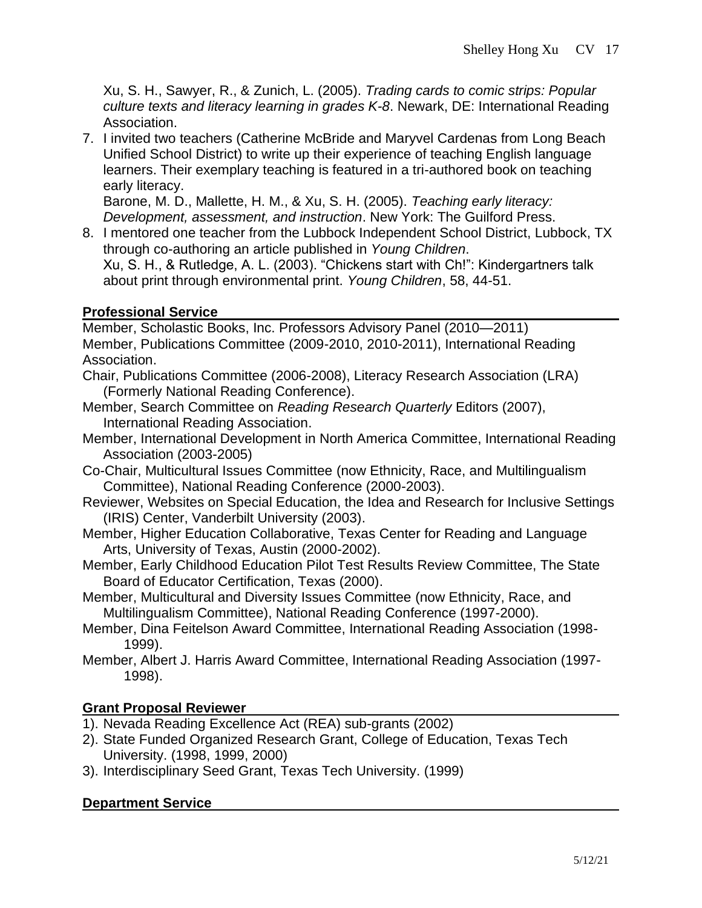Xu, S. H., Sawyer, R., & Zunich, L. (2005). *Trading cards to comic strips: Popular culture texts and literacy learning in grades K-8*. Newark, DE: International Reading Association.

7. I invited two teachers (Catherine McBride and Maryvel Cardenas from Long Beach Unified School District) to write up their experience of teaching English language learners. Their exemplary teaching is featured in a tri-authored book on teaching early literacy.

Barone, M. D., Mallette, H. M., & Xu, S. H. (2005). *Teaching early literacy: Development, assessment, and instruction*. New York: The Guilford Press.

8. I mentored one teacher from the Lubbock Independent School District, Lubbock, TX through co-authoring an article published in *Young Children*. Xu, S. H., & Rutledge, A. L. (2003). "Chickens start with Ch!": Kindergartners talk about print through environmental print. *Young Children*, 58, 44-51.

### **Professional Service**

Member, Scholastic Books, Inc. Professors Advisory Panel (2010—2011) Member, Publications Committee (2009-2010, 2010-2011), International Reading Association.

- Chair, Publications Committee (2006-2008), Literacy Research Association (LRA) (Formerly National Reading Conference).
- Member, Search Committee on *Reading Research Quarterly* Editors (2007), International Reading Association.
- Member, International Development in North America Committee, International Reading Association (2003-2005)
- Co-Chair, Multicultural Issues Committee (now Ethnicity, Race, and Multilingualism Committee), National Reading Conference (2000-2003).
- Reviewer, Websites on Special Education, the Idea and Research for Inclusive Settings (IRIS) Center, Vanderbilt University (2003).
- Member, Higher Education Collaborative, Texas Center for Reading and Language Arts, University of Texas, Austin (2000-2002).
- Member, Early Childhood Education Pilot Test Results Review Committee, The State Board of Educator Certification, Texas (2000).
- Member, Multicultural and Diversity Issues Committee (now Ethnicity, Race, and Multilingualism Committee), National Reading Conference (1997-2000).
- Member, Dina Feitelson Award Committee, International Reading Association (1998- 1999).
- Member, Albert J. Harris Award Committee, International Reading Association (1997- 1998).

### **Grant Proposal Reviewer**

- 1). Nevada Reading Excellence Act (REA) sub-grants (2002)
- 2). State Funded Organized Research Grant, College of Education, Texas Tech University. (1998, 1999, 2000)
- 3). Interdisciplinary Seed Grant, Texas Tech University. (1999)

### **Department Service**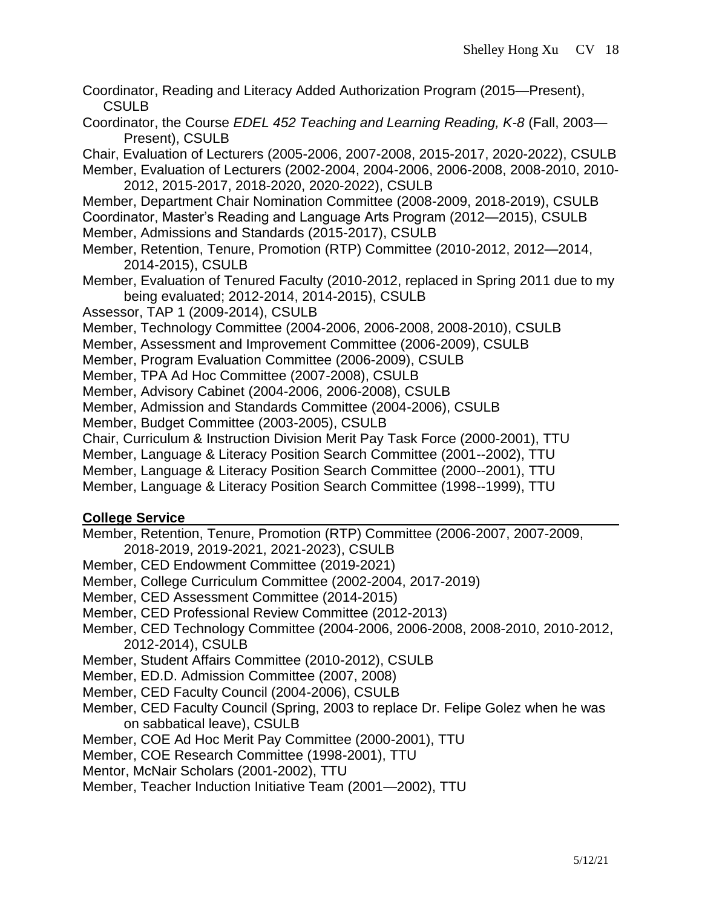- Coordinator, Reading and Literacy Added Authorization Program (2015—Present), CSULB
- Coordinator, the Course *EDEL 452 Teaching and Learning Reading, K-8* (Fall, 2003— Present), CSULB

Chair, Evaluation of Lecturers (2005-2006, 2007-2008, 2015-2017, 2020-2022), CSULB Member, Evaluation of Lecturers (2002-2004, 2004-2006, 2006-2008, 2008-2010, 2010- 2012, 2015-2017, 2018-2020, 2020-2022), CSULB

- Member, Department Chair Nomination Committee (2008-2009, 2018-2019), CSULB Coordinator, Master's Reading and Language Arts Program (2012—2015), CSULB
- Member, Admissions and Standards (2015-2017), CSULB
- Member, Retention, Tenure, Promotion (RTP) Committee (2010-2012, 2012—2014, 2014-2015), CSULB
- Member, Evaluation of Tenured Faculty (2010-2012, replaced in Spring 2011 due to my being evaluated; 2012-2014, 2014-2015), CSULB
- Assessor, TAP 1 (2009-2014), CSULB
- Member, Technology Committee (2004-2006, 2006-2008, 2008-2010), CSULB
- Member, Assessment and Improvement Committee (2006-2009), CSULB
- Member, Program Evaluation Committee (2006-2009), CSULB
- Member, TPA Ad Hoc Committee (2007-2008), CSULB
- Member, Advisory Cabinet (2004-2006, 2006-2008), CSULB
- Member, Admission and Standards Committee (2004-2006), CSULB
- Member, Budget Committee (2003-2005), CSULB
- Chair, Curriculum & Instruction Division Merit Pay Task Force (2000-2001), TTU
- Member, Language & Literacy Position Search Committee (2001--2002), TTU
- Member, Language & Literacy Position Search Committee (2000--2001), TTU
- Member, Language & Literacy Position Search Committee (1998--1999), TTU

### **College Service**

- Member, Retention, Tenure, Promotion (RTP) Committee (2006-2007, 2007-2009,
- 2018-2019, 2019-2021, 2021-2023), CSULB
- Member, CED Endowment Committee (2019-2021)
- Member, College Curriculum Committee (2002-2004, 2017-2019)
- Member, CED Assessment Committee (2014-2015)
- Member, CED Professional Review Committee (2012-2013)
- Member, CED Technology Committee (2004-2006, 2006-2008, 2008-2010, 2010-2012, 2012-2014), CSULB
- Member, Student Affairs Committee (2010-2012), CSULB
- Member, ED.D. Admission Committee (2007, 2008)
- Member, CED Faculty Council (2004-2006), CSULB
- Member, CED Faculty Council (Spring, 2003 to replace Dr. Felipe Golez when he was on sabbatical leave), CSULB

Member, COE Ad Hoc Merit Pay Committee (2000-2001), TTU

- Member, COE Research Committee (1998-2001), TTU
- Mentor, McNair Scholars (2001-2002), TTU
- Member, Teacher Induction Initiative Team (2001—2002), TTU